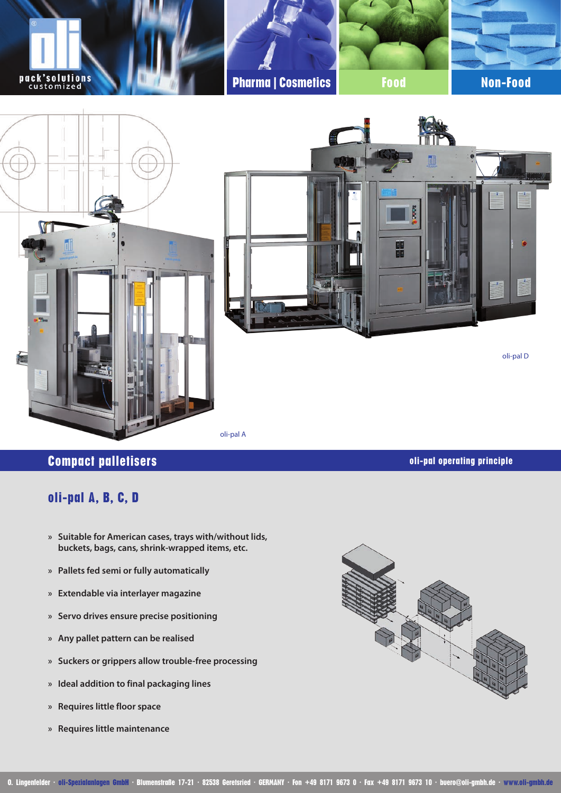

oli-pal A

# **Compact palletisers oli-pal operating principle**

# **oli-pal A, B, C, D**

- **» Suitable for American cases, trays with/without lids, buckets, bags, cans, shrink-wrapped items, etc.**
- **» Pallets fed semi or fully automatically**
- **» Extendable via interlayer magazine**
- **» Servo drives ensure precise positioning**
- **» Any pallet pattern can be realised**
- **» Suckers or grippers allow trouble-free processing**
- **» Ideal addition to final packaging lines**
- **» Requires little floor space**
- **» Requires little maintenance**